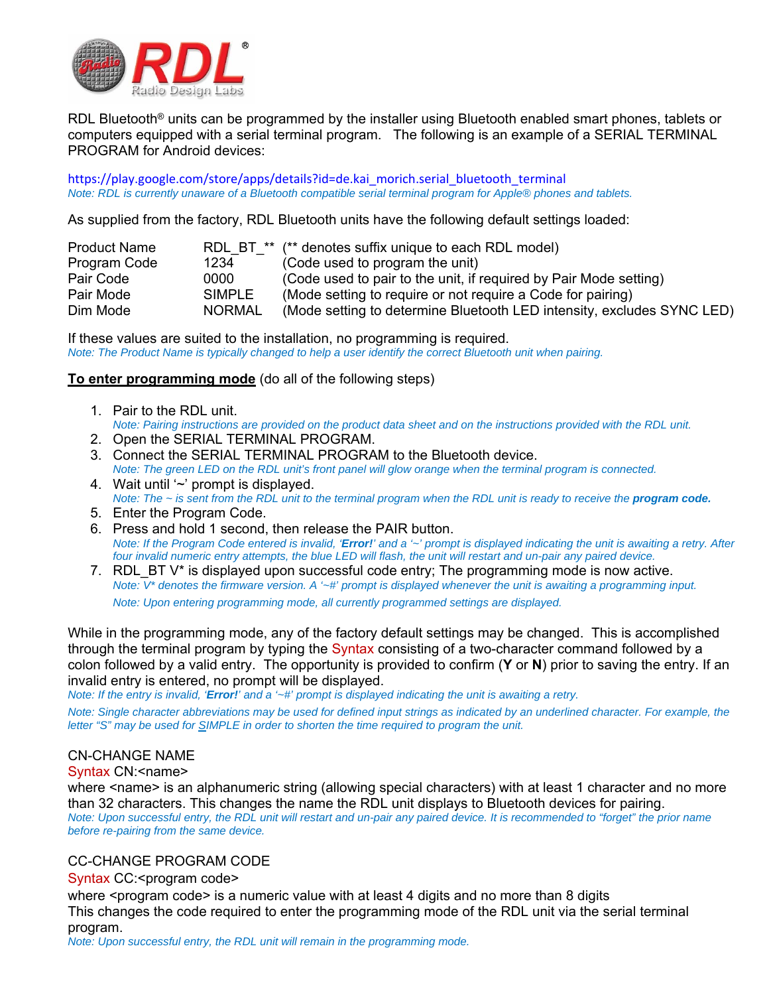

RDL Bluetooth<sup>®</sup> units can be programmed by the installer using Bluetooth enabled smart phones, tablets or computers equipped with a serial terminal program. The following is an example of a SERIAL TERMINAL PROGRAM for Android devices:

https://play.google.com/store/apps/details?id=de.kai\_morich.serial\_bluetooth\_terminal *Note: RDL is currently unaware of a Bluetooth compatible serial terminal program for Apple® phones and tablets.* 

As supplied from the factory, RDL Bluetooth units have the following default settings loaded:

| <b>Product Name</b> |               | RDL BT ** (** denotes suffix unique to each RDL model)                 |
|---------------------|---------------|------------------------------------------------------------------------|
| Program Code        | 1234          | (Code used to program the unit)                                        |
| Pair Code           | 0000          | (Code used to pair to the unit, if required by Pair Mode setting)      |
| Pair Mode           | <b>SIMPLE</b> | (Mode setting to require or not require a Code for pairing)            |
| Dim Mode            | <b>NORMAL</b> | (Mode setting to determine Bluetooth LED intensity, excludes SYNC LED) |

If these values are suited to the installation, no programming is required. *Note: The Product Name is typically changed to help a user identify the correct Bluetooth unit when pairing.* 

#### **To enter programming mode** (do all of the following steps)

- 1. Pair to the RDL unit. *Note: Pairing instructions are provided on the product data sheet and on the instructions provided with the RDL unit.*
- 2. Open the SERIAL TERMINAL PROGRAM.
- 3. Connect the SERIAL TERMINAL PROGRAM to the Bluetooth device. *Note: The green LED on the RDL unit's front panel will glow orange when the terminal program is connected.*
- 4. Wait until '~' prompt is displayed. *Note: The ~ is sent from the RDL unit to the terminal program when the RDL unit is ready to receive the program code.*
- 5. Enter the Program Code.
- 6. Press and hold 1 second, then release the PAIR button. *Note: If the Program Code entered is invalid, 'Error!' and a '~' prompt is displayed indicating the unit is awaiting a retry. After four invalid numeric entry attempts, the blue LED will flash, the unit will restart and un-pair any paired device.*
- 7. RDL BT  $V^*$  is displayed upon successful code entry; The programming mode is now active. *Note: V\* denotes the firmware version. A '~#' prompt is displayed whenever the unit is awaiting a programming input. Note: Upon entering programming mode, all currently programmed settings are displayed.*

While in the programming mode, any of the factory default settings may be changed. This is accomplished through the terminal program by typing the Syntax consisting of a two-character command followed by a colon followed by a valid entry. The opportunity is provided to confirm (**Y** or **N**) prior to saving the entry. If an invalid entry is entered, no prompt will be displayed.

*Note: If the entry is invalid, 'Error!' and a '~#' prompt is displayed indicating the unit is awaiting a retry.* 

*Note: Single character abbreviations may be used for defined input strings as indicated by an underlined character. For example, the letter "S" may be used for SIMPLE in order to shorten the time required to program the unit.*

## CN-CHANGE NAME

#### Syntax CN:<name>

where <name> is an alphanumeric string (allowing special characters) with at least 1 character and no more than 32 characters. This changes the name the RDL unit displays to Bluetooth devices for pairing. *Note: Upon successful entry, the RDL unit will restart and un-pair any paired device. It is recommended to "forget" the prior name before re-pairing from the same device.*

#### CC-CHANGE PROGRAM CODE

#### Syntax CC:<program code>

where <program code> is a numeric value with at least 4 digits and no more than 8 digits This changes the code required to enter the programming mode of the RDL unit via the serial terminal program.

*Note: Upon successful entry, the RDL unit will remain in the programming mode.*